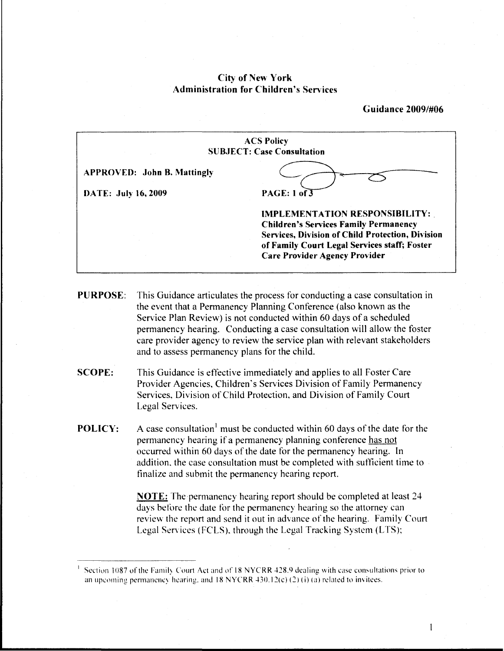# ACS Policy SUB.JECT: Case Consultation Guidance 2009/#06 APPROVED: John B. Mattingly DATE: July 16, 2009 PAGE: 1 of 3 IMPLEMENTATION RESPONSIBILITY:. Children's Services Family Permanency Services, Division of Child Protection, Division of Family Court Legal Services staff; Foster Care Provider Agency Provider

## City of New York Administration for Children's Services

PURPOSE: This Guidance articulates the process for conducting a case consultation in the event that a Permanency Planning Conference (also known as the Service Plan Review) is not conducted within 60 days of a scheduled permanency hearing. Conducting a case consultation will allow the foster care provider agency to review the service plan with relevant stakeholders and to assess permanency plans for the child.

- SCOPE: This Guidance is effective immediately and applies to all Foster Care Provider Agencies, Children's Services Division of Family Permanency Services, Division of Child Protection, and Division of Family Court Legal Services.
- **POLICY:** A case consultation<sup>1</sup> must be conducted within 60 days of the date for the permanency hearing if a permanency planning conference has not occurred within 60 days of the date for the permanency hearing. In addition. the case consultation must be completed with sutlicient time to finalize and submit the permanency hearing report.

NOTE: The permanency hearing report should be completed at least 24 days before the date for the permanency hearing so the attorney can review the report and send it out in advance of the hearing. Family Court Legal Services (FCLS). through the Legal Tracking System (LTS);

 $\mathbf{1}$ 

Section 1087 of the Family Court Act and of 18 NYCRR 428.9 dealing with case consultations prior to an upcoming permanency hearing. and  $18$  NYCRR  $430.12(c)$  (2) (i) (a) related to invitees.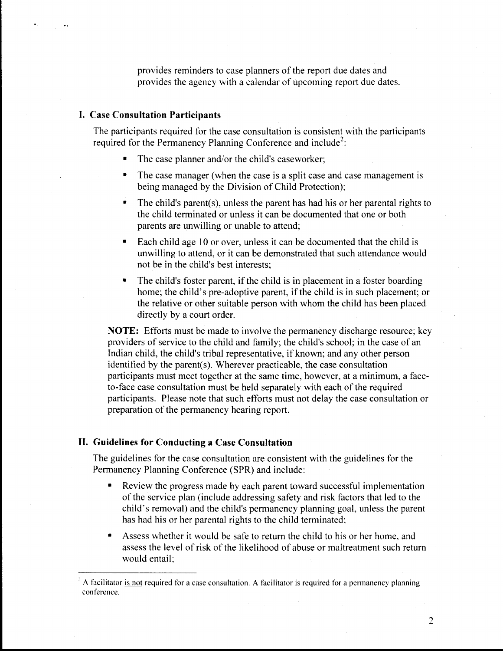provides reminders to case planners of the report due dates and provides the agency with a calendar of upcoming report due dates.

## **I. Case Consultation Participants**

The participants required for the case consultation is consistent with the participants required for the Permanency Planning Conference and include<sup>2</sup>:

- The case planner and/or the child's caseworker;
- The case manager (when the case is a split case and case management is being managed by the Division of Child Protection);
- The child's parent(s), unless the parent has had his or her parental rights to the child terminated or unless it can be documented that one or both parents are unwilling or unable to attend;
- Each child age 10 or over, unless it can be documented that the child is unwilling to attend, or it can be demonstrated that such attendance would not be in the child's best interests;
- The child's foster parent, if the child is in placement in a foster boarding home; the child's pre-adoptive parent, if the child is in such placement; or the relative or other suitable person with whom the child has been placed directly by a court order.

**NOTE:** Efforts must be made to involve the permanency discharge resource; key providers of service to the child and family; the child's school; in the case of an Indian child, the child's tribal representative, if known; and any other person identified by the parent(s). Wherever practicable, the case consultation participants must meet together at the same time, however, at a minimum, a faceto-face case consultation must be held separately with each of the required participants. Please note that such efforts must not delay the case consultation or preparation of the permanency hearing report.

#### **II. Guidelines for Conducting a Case Consultation**

The guidelines for the case consultation are consistent with the guidelines for the Permanency Planning Conference (SPR) and include:

- Review the progress made by each parent toward successful implementation of the service plan (include addressing safety and risk factors that led to the child's removal) and the child's permanency planning goal, unless the parent has had his or her parental rights to the child terminated;
- Assess whether it would be safe to return the child to his or her home, and assess the level of risk of the likelihood of abuse or maltreatment such return would entail;

A facilitator is not required for a case consultation. A facilitator is required for a permanency planning conference.